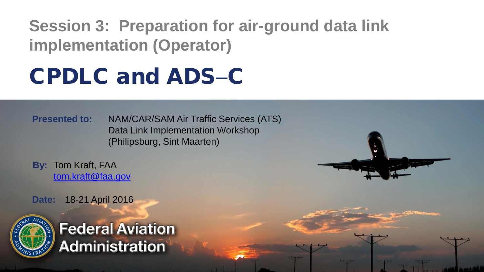**Session 3: Preparation for air-ground data link implementation (Operator)**

## CPDLC and ADS−C

**Presented to:** NAM/CAR/SAM Air Traffic Services (ATS) Data Link Implementation Workshop (Philipsburg, Sint Maarten)

**By:** Tom Kraft, FAA [tom.kraft@faa.gov](mailto:tom.kraft@faa.gov)

**Date:** 18-21 April 2016



**Federal Aviation Administration**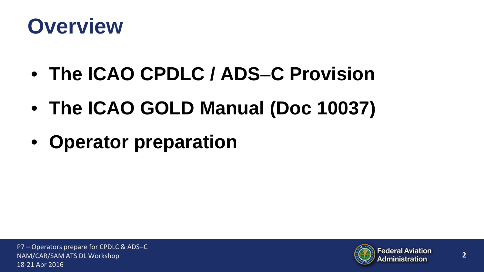

- **The ICAO CPDLC / ADS**−**C Provision**
- **The ICAO GOLD Manual (Doc 10037)**
- **Operator preparation**

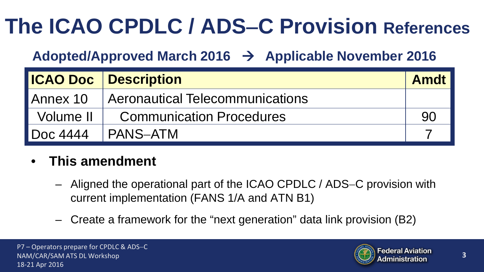# **The ICAO CPDLC / ADS**−**C Provision References**

### **Adopted/Approved March 2016 Applicable November 2016**

|                 | <b>ICAO Doc</b> Description     | <b>Amdt</b> |
|-----------------|---------------------------------|-------------|
| Annex 10        | Aeronautical Telecommunications |             |
| Volume II       | <b>Communication Procedures</b> | 90          |
| <b>Doc 4444</b> | <b>PANS-ATM</b>                 |             |

#### • **This amendment**

- Aligned the operational part of the ICAO CPDLC / ADS−C provision with current implementation (FANS 1/A and ATN B1)
- Create a framework for the "next generation" data link provision (B2)

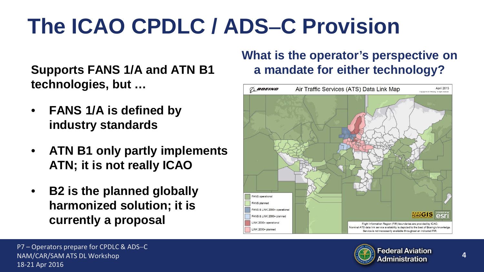# **The ICAO CPDLC / ADS**−**C Provision**

**Supports FANS 1/A and ATN B1 technologies, but …**

- **FANS 1/A is defined by industry standards**
- **ATN B1 only partly implements ATN; it is not really ICAO**
- **B2 is the planned globally harmonized solution; it is currently a proposal**

#### **What is the operator's perspective on a mandate for either technology?**





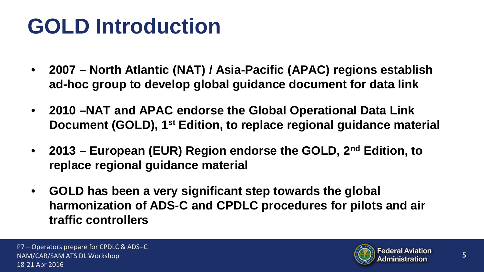## **GOLD Introduction**

- **2007 – North Atlantic (NAT) / Asia-Pacific (APAC) regions establish ad-hoc group to develop global guidance document for data link**
- **2010 –NAT and APAC endorse the Global Operational Data Link Document (GOLD), 1st Edition, to replace regional guidance material**
- **2013 – European (EUR) Region endorse the GOLD, 2nd Edition, to replace regional guidance material**
- **GOLD has been a very significant step towards the global harmonization of ADS-C and CPDLC procedures for pilots and air traffic controllers**

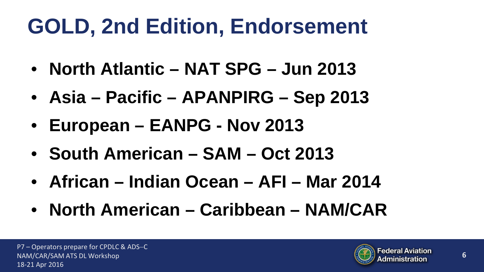# **GOLD, 2nd Edition, Endorsement**

- **North Atlantic – NAT SPG – Jun 2013**
- **Asia – Pacific – APANPIRG – Sep 2013**
- **European – EANPG - Nov 2013**
- **South American – SAM – Oct 2013**
- **African – Indian Ocean – AFI – Mar 2014**
- **North American – Caribbean – NAM/CAR**

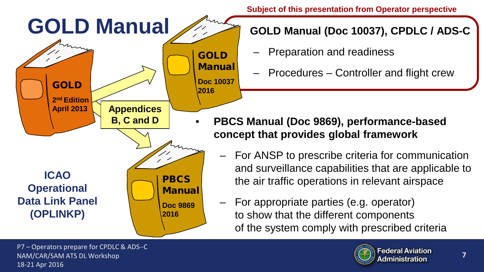

**Subject of this presentation from Operator perspective**

- Preparation and readiness
- Procedures Controller and flight crew

- **PBCS Manual (Doc 9869), performance-based concept that provides global framework**
	- For ANSP to prescribe criteria for communication and surveillance capabilities that are applicable to the air traffic operations in relevant airspace
	- For appropriate parties (e.g. operator) to show that the different components of the system comply with prescribed criteria

P7 – Operators prepare for CPDLC & ADS-C NAM/CAR/SAM ATS DL Workshop 18-21 Apr 2016

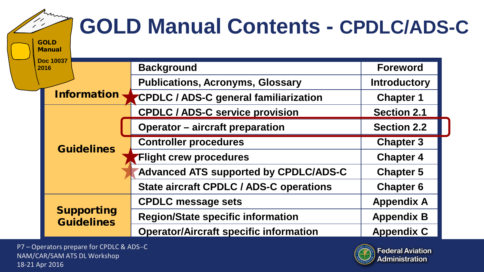| <b>GOLD</b>                               | <b>GOLD Manual Contents - CPDLC/ADS-C</b>      |                     |
|-------------------------------------------|------------------------------------------------|---------------------|
| <b>Manual</b><br><b>Doc 10037</b><br>2016 | <b>Background</b>                              | <b>Foreword</b>     |
|                                           | <b>Publications, Acronyms, Glossary</b>        | <b>Introductory</b> |
| <b>Information</b>                        | <b>CPDLC / ADS-C general familiarization</b>   | <b>Chapter 1</b>    |
|                                           | <b>CPDLC / ADS-C service provision</b>         | <b>Section 2.1</b>  |
|                                           | <b>Operator - aircraft preparation</b>         | <b>Section 2.2</b>  |
|                                           | <b>Controller procedures</b>                   | <b>Chapter 3</b>    |
| <b>Guidelines</b>                         | <b>Flight crew procedures</b>                  | <b>Chapter 4</b>    |
|                                           | <b>Advanced ATS supported by CPDLC/ADS-C</b>   | <b>Chapter 5</b>    |
|                                           | <b>State aircraft CPDLC / ADS-C operations</b> | <b>Chapter 6</b>    |
|                                           | <b>CPDLC message sets</b>                      | <b>Appendix A</b>   |
| <b>Supporting</b><br><b>Guidelines</b>    | <b>Region/State specific information</b>       | <b>Appendix B</b>   |
|                                           | <b>Operator/Aircraft specific information</b>  | <b>Appendix C</b>   |

P7 – Operators prepare for CPDLC & ADS−C NAM/CAR/SAM ATS DL Workshop 18-21 Apr 2016

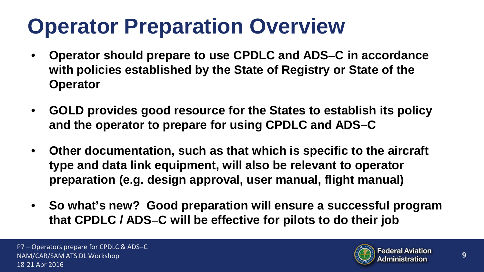## **Operator Preparation Overview**

- **Operator should prepare to use CPDLC and ADS**−**C in accordance with policies established by the State of Registry or State of the Operator**
- **GOLD provides good resource for the States to establish its policy and the operator to prepare for using CPDLC and ADS**−**C**
- **Other documentation, such as that which is specific to the aircraft type and data link equipment, will also be relevant to operator preparation (e.g. design approval, user manual, flight manual)**
- **So what's new? Good preparation will ensure a successful program that CPDLC / ADS**−**C will be effective for pilots to do their job**

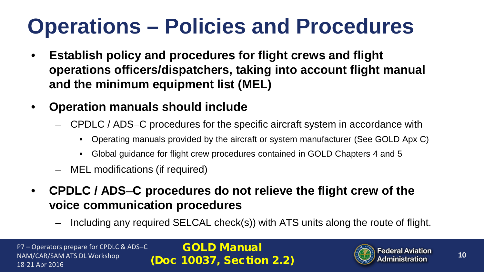## **Operations – Policies and Procedures**

- **Establish policy and procedures for flight crews and flight operations officers/dispatchers, taking into account flight manual and the minimum equipment list (MEL)**
- **Operation manuals should include**
	- CPDLC / ADS−C procedures for the specific aircraft system in accordance with
		- Operating manuals provided by the aircraft or system manufacturer (See GOLD Apx C)
		- Global guidance for flight crew procedures contained in GOLD Chapters 4 and 5
	- MEL modifications (if required)
- **CPDLC / ADS**−**C procedures do not relieve the flight crew of the voice communication procedures**
	- Including any required SELCAL check(s)) with ATS units along the route of flight.

P7 – Operators prepare for CPDLC & ADS−C NAM/CAR/SAM ATS DL Workshop 18-21 Apr 2016

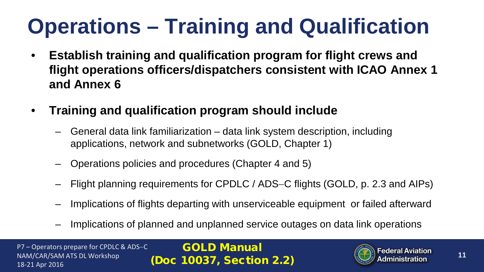# **Operations – Training and Qualification**

- **Establish training and qualification program for flight crews and flight operations officers/dispatchers consistent with ICAO Annex 1 and Annex 6**
- **Training and qualification program should include**
	- General data link familiarization data link system description, including applications, network and subnetworks (GOLD, Chapter 1)
	- Operations policies and procedures (Chapter 4 and 5)
	- Flight planning requirements for CPDLC / ADS−C flights (GOLD, p. 2.3 and AIPs)
	- Implications of flights departing with unserviceable equipment or failed afterward
	- Implications of planned and unplanned service outages on data link operations

P7 – Operators prepare for CPDLC & ADS−C NAM/CAR/SAM ATS DL Workshop 18-21 Apr 2016

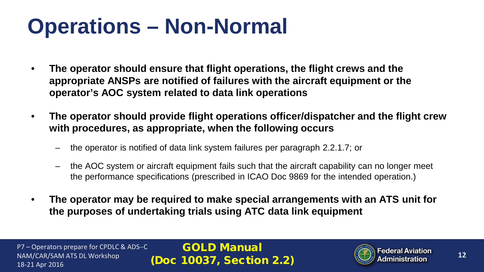## **Operations – Non-Normal**

- **The operator should ensure that flight operations, the flight crews and the appropriate ANSPs are notified of failures with the aircraft equipment or the operator's AOC system related to data link operations**
- **The operator should provide flight operations officer/dispatcher and the flight crew with procedures, as appropriate, when the following occurs**
	- the operator is notified of data link system failures per paragraph 2.2.1.7; or
	- the AOC system or aircraft equipment fails such that the aircraft capability can no longer meet the performance specifications (prescribed in ICAO Doc 9869 for the intended operation.)
- **The operator may be required to make special arrangements with an ATS unit for the purposes of undertaking trials using ATC data link equipment**

P7 – Operators prepare for CPDLC & ADS−C NAM/CAR/SAM ATS DL Workshop 18-21 Apr 2016

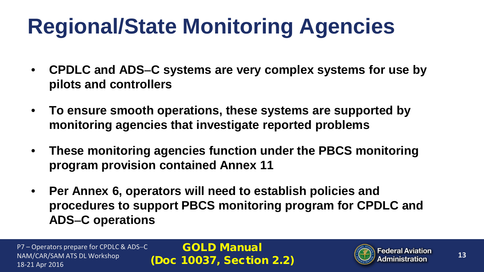# **Regional/State Monitoring Agencies**

- **CPDLC and ADS**−**C systems are very complex systems for use by pilots and controllers**
- **To ensure smooth operations, these systems are supported by monitoring agencies that investigate reported problems**
- **These monitoring agencies function under the PBCS monitoring program provision contained Annex 11**
- **Per Annex 6, operators will need to establish policies and procedures to support PBCS monitoring program for CPDLC and ADS**−**C operations**

P7 – Operators prepare for CPDLC & ADS−C NAM/CAR/SAM ATS DL Workshop 18-21 Apr 2016

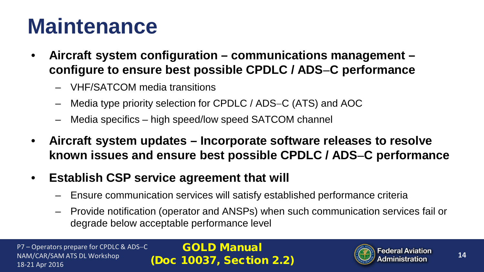## **Maintenance**

- **Aircraft system configuration – communications management – configure to ensure best possible CPDLC / ADS**−**C performance**
	- VHF/SATCOM media transitions
	- Media type priority selection for CPDLC / ADS−C (ATS) and AOC
	- Media specifics high speed/low speed SATCOM channel
- **Aircraft system updates – Incorporate software releases to resolve known issues and ensure best possible CPDLC / ADS**−**C performance**
- **Establish CSP service agreement that will**
	- Ensure communication services will satisfy established performance criteria
	- Provide notification (operator and ANSPs) when such communication services fail or degrade below acceptable performance level

P7 – Operators prepare for CPDLC & ADS−C NAM/CAR/SAM ATS DL Workshop 18-21 Apr 2016

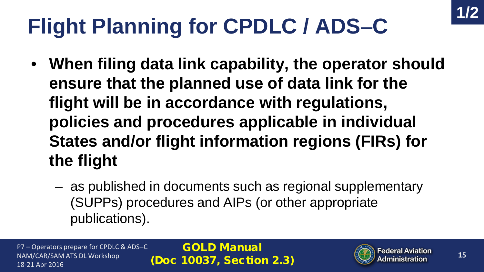# **Flight Planning for CPDLC / ADS**−**C**

- **When filing data link capability, the operator should ensure that the planned use of data link for the flight will be in accordance with regulations, policies and procedures applicable in individual States and/or flight information regions (FIRs) for the flight**
	- as published in documents such as regional supplementary (SUPPs) procedures and AIPs (or other appropriate publications).

P7 – Operators prepare for CPDLC & ADS−C NAM/CAR/SAM ATS DL Workshop 18-21 Apr 2016

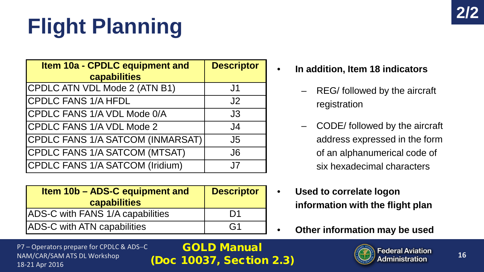# **Flight Planning**

| Item 10a - CPDLC equipment and<br>capabilities | <b>Descriptor</b> |
|------------------------------------------------|-------------------|
| CPDLC ATN VDL Mode 2 (ATN B1)                  | J <sub>1</sub>    |
| <b>CPDLC FANS 1/A HFDL</b>                     | J <sub>2</sub>    |
| CPDLC FANS 1/A VDL Mode 0/A                    | J3                |
| <b>CPDLC FANS 1/A VDL Mode 2</b>               | J4                |
| CPDLC FANS 1/A SATCOM (INMARSAT)               | J <sub>5</sub>    |
| <b>CPDLC FANS 1/A SATCOM (MTSAT)</b>           | J <sub>6</sub>    |
| CPDLC FANS 1/A SATCOM (Iridium)                | .17               |

| Item 10b - ADS-C equipment and<br>capabilities | <b>Descriptor</b> |
|------------------------------------------------|-------------------|
| ADS-C with FANS 1/A capabilities               | D1                |
| <b>ADS-C with ATN capabilities</b>             | G <sub>1</sub>    |

P7 – Operators prepare for CPDLC & ADS−C NAM/CAR/SAM ATS DL Workshop 18-21 Apr 2016

- **In addition, Item 18 indicators** 
	- REG/ followed by the aircraft registration
	- CODE/ followed by the aircraft address expressed in the form of an alphanumerical code of six hexadecimal characters
- **Used to correlate logon information with the flight plan**
- **Other information may be used**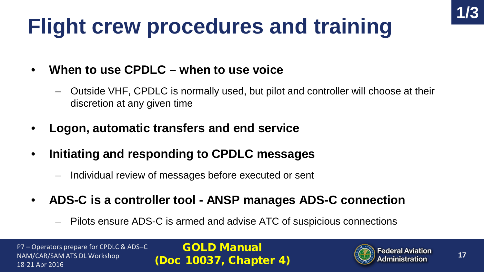# **Flight crew procedures and training**

- **When to use CPDLC – when to use voice**
	- Outside VHF, CPDLC is normally used, but pilot and controller will choose at their discretion at any given time
- **Logon, automatic transfers and end service**
- **Initiating and responding to CPDLC messages**
	- Individual review of messages before executed or sent
- **ADS-C is a controller tool - ANSP manages ADS-C connection**
	- Pilots ensure ADS-C is armed and advise ATC of suspicious connections

P7 – Operators prepare for CPDLC & ADS−C NAM/CAR/SAM ATS DL Workshop 18-21 Apr 2016

GOLD Manual (Doc 10037, Chapter 4)



**1/3**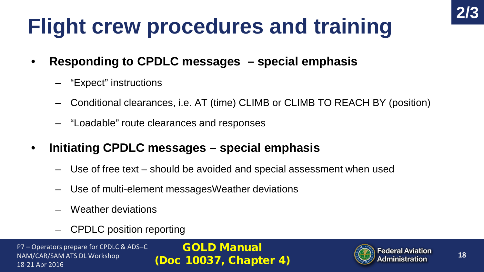# **Flight crew procedures and training**

- **Responding to CPDLC messages – special emphasis**
	- "Expect" instructions
	- Conditional clearances, i.e. AT (time) CLIMB or CLIMB TO REACH BY (position)
	- "Loadable" route clearances and responses
- **Initiating CPDLC messages – special emphasis**
	- Use of free text should be avoided and special assessment when used
	- Use of multi-element messagesWeather deviations
	- Weather deviations
	- CPDLC position reporting

P7 – Operators prepare for CPDLC & ADS−C NAM/CAR/SAM ATS DL Workshop 18-21 Apr 2016

GOLD Manual (Doc 10037, Chapter 4)



**2/3**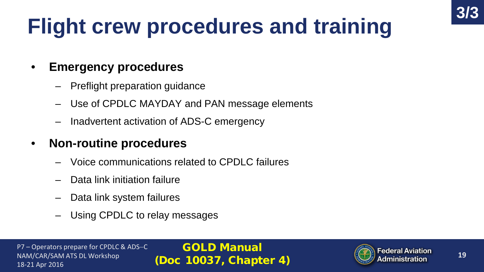# **Flight crew procedures and training**

#### • **Emergency procedures**

- Preflight preparation guidance
- Use of CPDLC MAYDAY and PAN message elements
- Inadvertent activation of ADS-C emergency

#### • **Non-routine procedures**

- Voice communications related to CPDLC failures
- Data link initiation failure
- Data link system failures
- Using CPDLC to relay messages

P7 – Operators prepare for CPDLC & ADS−C NAM/CAR/SAM ATS DL Workshop 18-21 Apr 2016

GOLD Manual (Doc 10037, Chapter 4)



**3/3**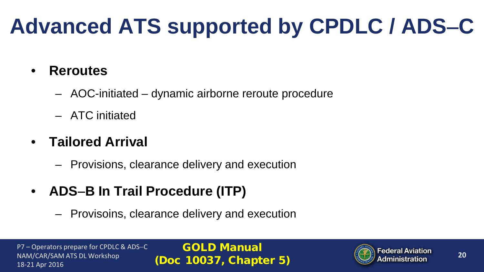# **Advanced ATS supported by CPDLC / ADS**−**C**

#### • **Reroutes**

- AOC-initiated dynamic airborne reroute procedure
- ATC initiated

#### • **Tailored Arrival**

- Provisions, clearance delivery and execution
- **ADS**−**B In Trail Procedure (ITP)**
	- Provisoins, clearance delivery and execution

P7 – Operators prepare for CPDLC & ADS−C NAM/CAR/SAM ATS DL Workshop 18-21 Apr 2016

GOLD Manual (Doc 10037, Chapter 5)

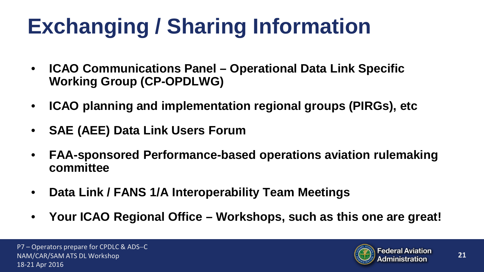# **Exchanging / Sharing Information**

- **ICAO Communications Panel – Operational Data Link Specific Working Group (CP-OPDLWG)**
- **ICAO planning and implementation regional groups (PIRGs), etc**
- **SAE (AEE) Data Link Users Forum**
- **FAA-sponsored Performance-based operations aviation rulemaking committee**
- **Data Link / FANS 1/A Interoperability Team Meetings**
- **Your ICAO Regional Office – Workshops, such as this one are great!**

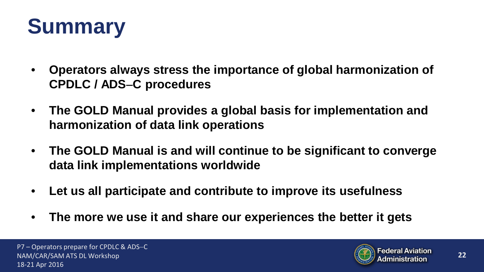

- **Operators always stress the importance of global harmonization of CPDLC / ADS**−**C procedures**
- **The GOLD Manual provides a global basis for implementation and harmonization of data link operations**
- **The GOLD Manual is and will continue to be significant to converge data link implementations worldwide**
- **Let us all participate and contribute to improve its usefulness**
- **The more we use it and share our experiences the better it gets**